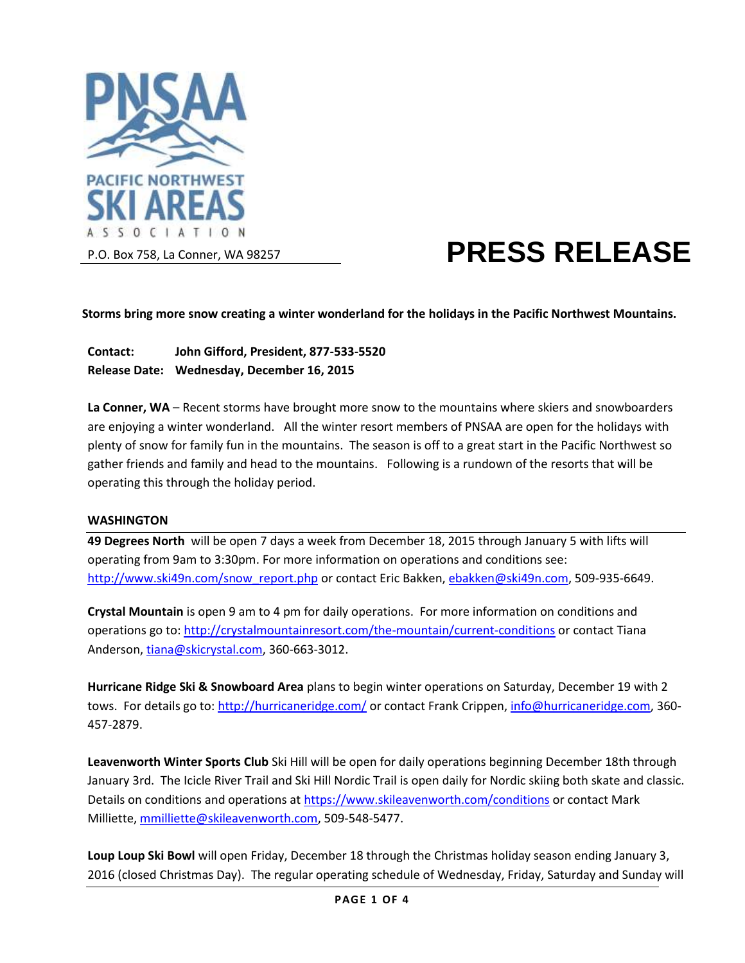

# **PRESS RELEASE**

**Storms bring more snow creating a winter wonderland for the holidays in the Pacific Northwest Mountains.**

**Contact: John Gifford, President, 877-533-5520 Release Date: Wednesday, December 16, 2015**

**La Conner, WA** – Recent storms have brought more snow to the mountains where skiers and snowboarders are enjoying a winter wonderland. All the winter resort members of PNSAA are open for the holidays with plenty of snow for family fun in the mountains. The season is off to a great start in the Pacific Northwest so gather friends and family and head to the mountains. Following is a rundown of the resorts that will be operating this through the holiday period.

#### **WASHINGTON**

**49 Degrees North** will be open 7 days a week from December 18, 2015 through January 5 with lifts will operating from 9am to 3:30pm. For more information on operations and conditions see: [http://www.ski49n.com/snow\\_report.php](http://www.ski49n.com/snow_report.php) or contact Eric Bakken[, ebakken@ski49n.com,](mailto:ebakken@ski49n.com) 509-935-6649.

**Crystal Mountain** is open 9 am to 4 pm for daily operations. For more information on conditions and operations go to:<http://crystalmountainresort.com/the-mountain/current-conditions> or contact Tiana Anderson, [tiana@skicrystal.com,](mailto:tiana@skicrystal.com) 360-663-3012.

**Hurricane Ridge Ski & Snowboard Area** plans to begin winter operations on Saturday, December 19 with 2 tows. For details go to:<http://hurricaneridge.com/> or contact Frank Crippen[, info@hurricaneridge.com,](mailto:info@hurricaneridge.com) 360-457-2879.

**Leavenworth Winter Sports Club** Ski Hill will be open for daily operations beginning December 18th through January 3rd. The Icicle River Trail and Ski Hill Nordic Trail is open daily for Nordic skiing both skate and classic. Details on conditions and operations a[t https://www.skileavenworth.com/conditions](https://www.skileavenworth.com/conditions) or contact Mark Milliette, [mmilliette@skileavenworth.com,](mailto:mmilliette@skileavenworth.com) 509-548-5477.

**Loup Loup Ski Bowl** will open Friday, December 18 through the Christmas holiday season ending January 3, 2016 (closed Christmas Day). The regular operating schedule of Wednesday, Friday, Saturday and Sunday will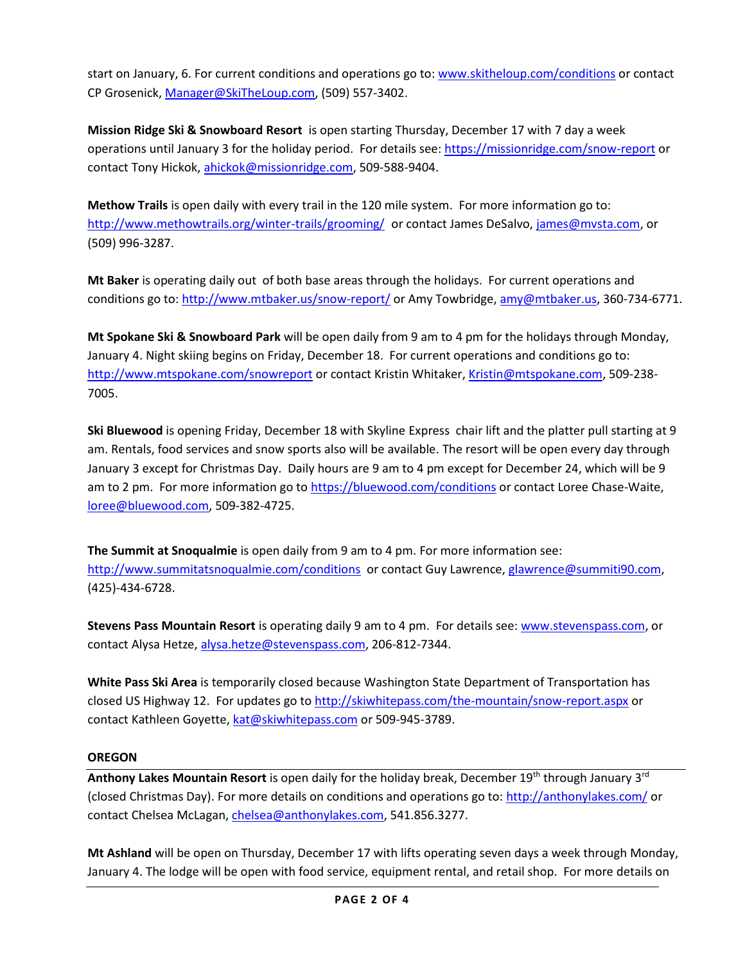start on January, 6. For current conditions and operations go to: [www.skitheloup.com/conditions](http://www.skitheloup.com/conditions) or contact CP Grosenick, [Manager@SkiTheLoup.com,](mailto:Manager@SkiTheLoup.com) (509) 557-3402.

**Mission Ridge Ski & Snowboard Resort** is open starting Thursday, December 17 with 7 day a week operations until January 3 for the holiday period. For details see: <https://missionridge.com/snow-report> or contact Tony Hickok[, ahickok@missionridge.com,](mailto:ahickok@missionridge.com) 509-588-9404.

**Methow Trails** is open daily with every trail in the 120 mile system. For more information go to: <http://www.methowtrails.org/winter-trails/grooming/> or contact James DeSalvo, [james@mvsta.com,](mailto:james@mvsta.com) or (509) 996-3287.

**Mt Baker** is operating daily out of both base areas through the holidays. For current operations and conditions go to[: http://www.mtbaker.us/snow-report/](http://www.mtbaker.us/snow-report/) or Amy Towbridge, [amy@mtbaker.us,](mailto:amy@mtbaker.us) 360-734-6771.

**Mt Spokane Ski & Snowboard Park** will be open daily from 9 am to 4 pm for the holidays through Monday, January 4. Night skiing begins on Friday, December 18. For current operations and conditions go to: <http://www.mtspokane.com/snowreport> or contact Kristin Whitaker, [Kristin@mtspokane.com,](mailto:Kristin@mtspokane.com) 509-238- 7005.

**Ski Bluewood** is opening Friday, December 18 with Skyline Express chair lift and the platter pull starting at 9 am. Rentals, food services and snow sports also will be available. The resort will be open every day through January 3 except for Christmas Day. Daily hours are 9 am to 4 pm except for December 24, which will be 9 am to 2 pm. For more information go to<https://bluewood.com/conditions> or contact Loree Chase-Waite, [loree@bluewood.com,](mailto:loree@bluewood.com) 509-382-4725.

**The Summit at Snoqualmie** is open daily from 9 am to 4 pm. For more information see: <http://www.summitatsnoqualmie.com/conditions>or contact Guy Lawrence, [glawrence@summiti90.com,](mailto:glawrence@summiti90.com) (425)-434-6728.

**Stevens Pass Mountain Resort** is operating daily 9 am to 4 pm. For details see: [www.stevenspass.com,](http://www.stevenspass.com/) or contact Alysa Hetze, [alysa.hetze@stevenspass.com,](mailto:alysa.hetze@stevenspass.com) 206-812-7344.

**White Pass Ski Area** is temporarily closed because Washington State Department of Transportation has closed US Highway 12. For updates go t[o http://skiwhitepass.com/the-mountain/snow-report.aspx](http://skiwhitepass.com/the-mountain/snow-report.aspx) or contact Kathleen Goyette[, kat@skiwhitepass.com](mailto:kat@skiwhitepass.com) or 509-945-3789.

#### **OREGON**

**Anthony Lakes Mountain Resort** is open daily for the holiday break, December 19th through January 3rd (closed Christmas Day). For more details on conditions and operations go to:<http://anthonylakes.com/> or contact Chelsea McLagan[, chelsea@anthonylakes.com,](mailto:chelsea@anthonylakes.com) 541.856.3277.

**Mt Ashland** will be open on Thursday, December 17 with lifts operating seven days a week through Monday, January 4. The lodge will be open with food service, equipment rental, and retail shop. For more details on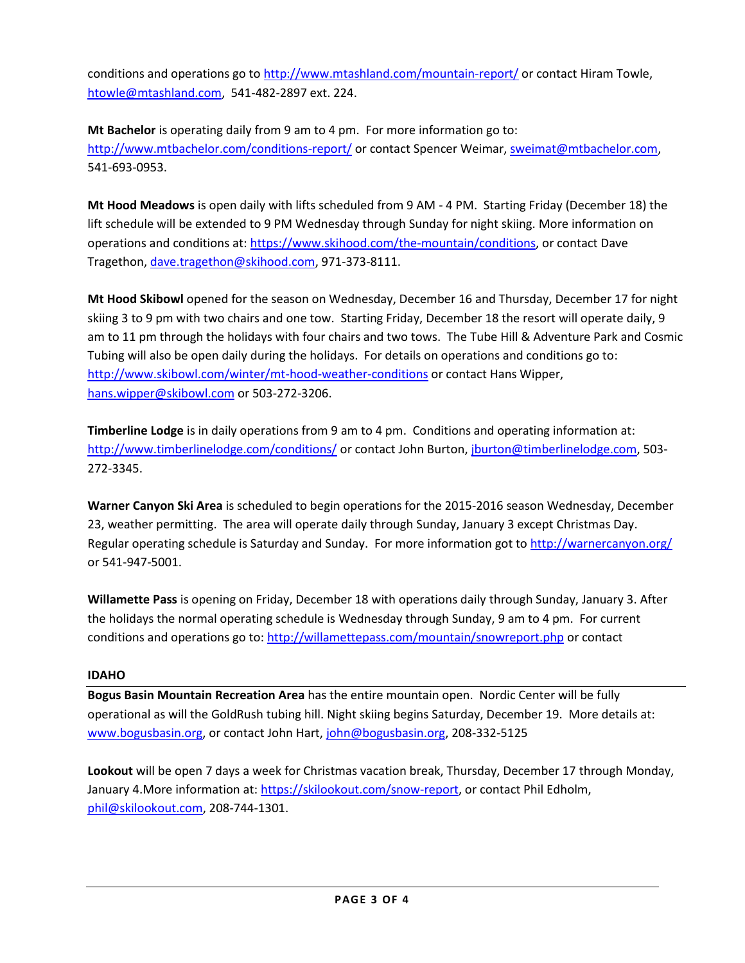conditions and operations go t[o http://www.mtashland.com/mountain-report/](http://www.mtashland.com/mountain-report/) or contact Hiram Towle. [htowle@mtashland.com,](mailto:htowle@mtashland.com) 541-482-2897 ext. 224.

**Mt Bachelor** is operating daily from 9 am to 4 pm. For more information go to: <http://www.mtbachelor.com/conditions-report/> or contact Spencer Weimar, [sweimat@mtbachelor.com,](mailto:sweimat@mtbachelor.com) 541-693-0953.

**Mt Hood Meadows** is open daily with lifts scheduled from 9 AM - 4 PM. Starting Friday (December 18) the lift schedule will be extended to 9 PM Wednesday through Sunday for night skiing. More information on operations and conditions at[: https://www.skihood.com/the-mountain/conditions,](https://www.skihood.com/the-mountain/conditions) or contact Dave Tragethon[, dave.tragethon@skihood.com,](mailto:dave.tragethon@skihood.com) 971-373-8111.

**Mt Hood Skibowl** opened for the season on Wednesday, December 16 and Thursday, December 17 for night skiing 3 to 9 pm with two chairs and one tow. Starting Friday, December 18 the resort will operate daily, 9 am to 11 pm through the holidays with four chairs and two tows. The Tube Hill & Adventure Park and Cosmic Tubing will also be open daily during the holidays. For details on operations and conditions go to: <http://www.skibowl.com/winter/mt-hood-weather-conditions> or contact Hans Wipper, [hans.wipper@skibowl.com](mailto:hans.wipper@skibowl.com) or 503-272-3206.

**Timberline Lodge** is in daily operations from 9 am to 4 pm. Conditions and operating information at: <http://www.timberlinelodge.com/conditions/> or contact John Burton, [jburton@timberlinelodge.com,](mailto:jburton@timberlinelodge.com) 503-272-3345.

**Warner Canyon Ski Area** is scheduled to begin operations for the 2015-2016 season Wednesday, December 23, weather permitting. The area will operate daily through Sunday, January 3 except Christmas Day. Regular operating schedule is Saturday and Sunday. For more information got to<http://warnercanyon.org/> or 541-947-5001.

**Willamette Pass** is opening on Friday, December 18 with operations daily through Sunday, January 3. After the holidays the normal operating schedule is Wednesday through Sunday, 9 am to 4 pm. For current conditions and operations go to[: http://willamettepass.com/mountain/snowreport.php](http://willamettepass.com/mountain/snowreport.php) or contact

# **IDAHO**

**Bogus Basin Mountain Recreation Area** has the entire mountain open. Nordic Center will be fully operational as will the GoldRush tubing hill. Night skiing begins Saturday, December 19. More details at: [www.bogusbasin.org,](http://www.bogusbasin.org/) or contact John Hart, [john@bogusbasin.org,](mailto:john@bogusbasin.org) 208-332-5125

**Lookout** will be open 7 days a week for Christmas vacation break, Thursday, December 17 through Monday, January 4.More information at: [https://skilookout.com/snow-report,](https://skilookout.com/snow-report) or contact Phil Edholm, [phil@skilookout.com,](mailto:phil@skilookout.com) 208-744-1301.